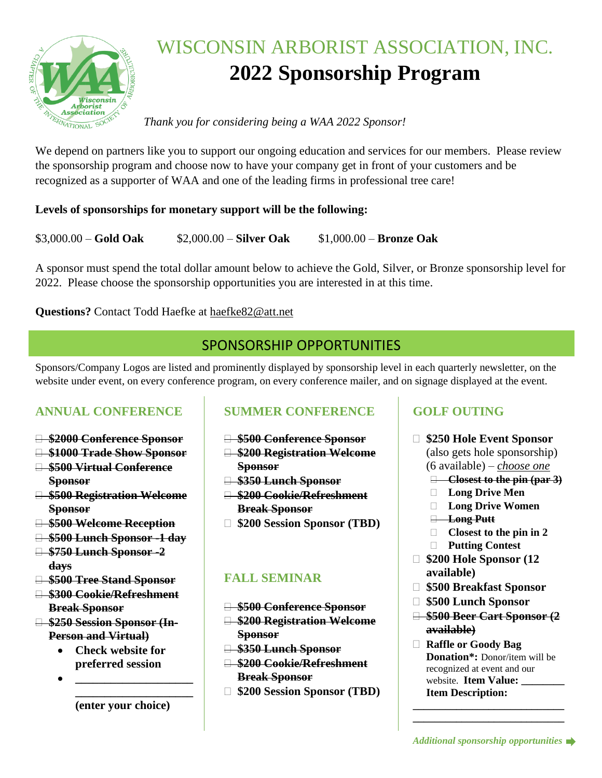

# WISCONSIN ARBORIST ASSOCIATION, INC. **2022 Sponsorship Program**

#### *Thank you for considering being a WAA 2022 Sponsor!*

We depend on partners like you to support our ongoing education and services for our members. Please review the sponsorship program and choose now to have your company get in front of your customers and be recognized as a supporter of WAA and one of the leading firms in professional tree care!

#### **Levels of sponsorships for monetary support will be the following:**

\$3,000.00 – **Gold Oak** \$2,000.00 – **Silver Oak** \$1,000.00 – **Bronze Oak**

A sponsor must spend the total dollar amount below to achieve the Gold, Silver, or Bronze sponsorship level for 2022. Please choose the sponsorship opportunities you are interested in at this time.

#### **Questions?** Contact Todd Haefke at haefke82@att.net

## SPONSORSHIP OPPORTUNITIES

Sponsors/Company Logos are listed and prominently displayed by sponsorship level in each quarterly newsletter, on the website under event, on every conference program, on every conference mailer, and on signage displayed at the event.

#### **ANNUAL CONFERENCE**

- **\$2000 Conference Sponsor**
- **\$1000 Trade Show Sponsor**
- **\$500 Virtual Conference Sponsor**
- **\$500 Registration Welcome Sponsor**
- **\$500 Welcome Reception**
- **\$500 Lunch Sponsor -1 day**
- **\$750 Lunch Sponsor -2 days**
- **\$500 Tree Stand Sponsor**
- **\$300 Cookie/Refreshment Break Sponsor**
- **\$250 Session Sponsor (In-Person and Virtual)**
	- **Check website for preferred session**

• **\_\_\_\_\_\_\_\_\_\_\_\_\_\_\_\_\_\_\_\_**



## **SUMMER CONFERENCE**

- **\$500 Conference Sponsor**
- **\$200 Registration Welcome Sponsor**
- **\$350 Lunch Sponsor**
- **\$200 Cookie/Refreshment Break Sponsor**
- **\$200 Session Sponsor (TBD)**

#### **FALL SEMINAR**

- **\$500 Conference Sponsor**
- **\$200 Registration Welcome Sponsor**
- **\$350 Lunch Sponsor**
- **\$200 Cookie/Refreshment Break Sponsor**
- **\$200 Session Sponsor (TBD)**

## **GOLF OUTING**

- **\$250 Hole Event Sponsor**  (also gets hole sponsorship) (6 available) – *choose one*
	- **Closest to the pin (par 3)**
	- **Long Drive Men**
	- **Long Drive Women**
	- **Long Putt**
	- **Closest to the pin in 2**
	- **Putting Contest**
- **\$200 Hole Sponsor (12 available)**
- **\$500 Breakfast Sponsor**
- **\$500 Lunch Sponsor**
- **\$500 Beer Cart Sponsor (2 available)**
- **Raffle or Goody Bag Donation\*:** Donor/item will be recognized at event and our website. **Item Value: \_\_\_\_\_\_\_\_ Item Description:**

**\_\_\_\_\_\_\_\_\_\_\_\_\_\_\_\_\_\_\_\_\_\_\_\_\_\_\_\_ \_\_\_\_\_\_\_\_\_\_\_\_\_\_\_\_\_\_\_\_\_\_\_\_\_\_\_\_**